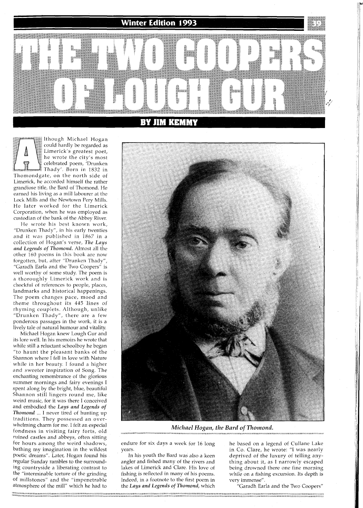**Winter Edition 1993** 

|∶∖

UWI

KINIVI

though Michael Hogan could hardly be regarded as Limerick's greatest poet, he wrote the city's most celebrated poem, 'Drunken Thady'. Born in 1832 in Thomondgate, on the north side of Limerick, he accorded himself the rather grandiose title, the Bard of Thomond. He earned his living as a mill labourer at the Lock Mills and the Newtown Pery Mills. He later worked for the Limerick Corporation, when he was employed as custodian of the bank of the Abbey River.

He wrote his best known work, "Drunken Thady", in his early twenties and it was published in 1867 in a collection of Hogan's verse, *The Lays and Legends of Thomond.* Almost all the other 160 poems in this book are now forgotten, but, after "Drunken Thady", "Garadh Earla and the Two Coopers" is well worthy of some study. The poem is a thoroughly Limerick work and is chockful of references to people, places, landmarks and historical happenings. The poem changes pace, mood and theme throughout its 445 lines of rhyming couplets. Although, unlike "Drunken Thady", there are a few ponderous passages in the work, it is a lively tale of natural humour and vitality.

Michael Hogan knew Lough Gur and its lore well. In his memoirs he wrote that while still a reluctant schoolboy he began "to haunt the pleasant banks of the Shannon where  $\hat{I}$  fell in love with Nature while in her beauty. I found a higher and sweeter inspiration of Song. The enchanting remembrance of the glorious summer mornings and fairy evenings I spent along by the bright, blue, beautiful Shannon still lingers round me, like weird music, for it was there I conceived and embodied the *Lays and Legends of Thomond* ... I never tired of hunting up traditions. They possessed an overwhelming charm for me. I felt an especial fondness in visiting fairy forts, old ruined castles and abbeys, bften sitting for hours among the weird shadows, bathing my imagination in the wildest poetic dreams". Later, Hogan found his regular Sunday rambles to the surrounding countryside a liberating contrast to the "interminable torture of the grinding of millstones" and the "impenetrable atmosphere of the mill" which he had to



*Michael Hogan, the Bard of Thomond.* 

endure for six days a week for 16 long years.

In his youth the Bard was also a keen angler and fished many of the rivers and lakes of Limerick and Clare. His love of fishing is reflected in many of his poems. Indeed, in a footnote to the first poem in the *Lays and Legends of Thomond,* which

he based on a legend of Cullane Lake in Co. Clare, he wrote: "I was nearly deprived of the luxury of telling anything about it, as I narrowly escaped being drowned there one fine morning while on a fishing excursion. Its depth is very immense".

"Garadh Earla and the Two Coopers"